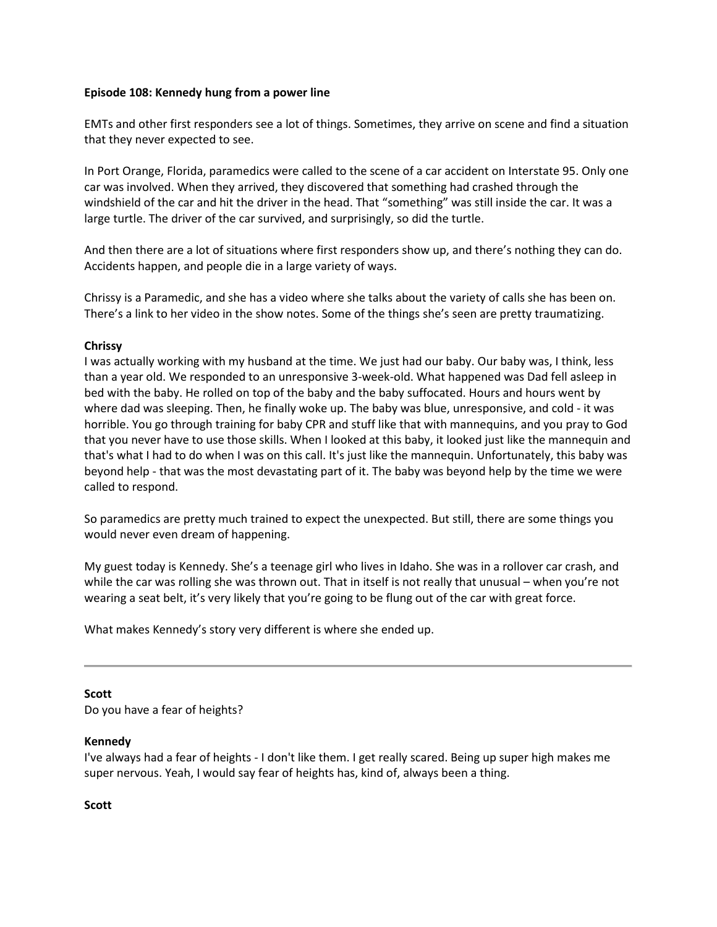### **Episode 108: Kennedy hung from a power line**

EMTs and other first responders see a lot of things. Sometimes, they arrive on scene and find a situation that they never expected to see.

In Port Orange, Florida, paramedics were called to the scene of a car accident on Interstate 95. Only one car was involved. When they arrived, they discovered that something had crashed through the windshield of the car and hit the driver in the head. That "something" was still inside the car. It was a large turtle. The driver of the car survived, and surprisingly, so did the turtle.

And then there are a lot of situations where first responders show up, and there's nothing they can do. Accidents happen, and people die in a large variety of ways.

Chrissy is a Paramedic, and she has a video where she talks about the variety of calls she has been on. There's a link to her video in the show notes. Some of the things she's seen are pretty traumatizing.

# **Chrissy**

I was actually working with my husband at the time. We just had our baby. Our baby was, I think, less than a year old. We responded to an unresponsive 3-week-old. What happened was Dad fell asleep in bed with the baby. He rolled on top of the baby and the baby suffocated. Hours and hours went by where dad was sleeping. Then, he finally woke up. The baby was blue, unresponsive, and cold - it was horrible. You go through training for baby CPR and stuff like that with mannequins, and you pray to God that you never have to use those skills. When I looked at this baby, it looked just like the mannequin and that's what I had to do when I was on this call. It's just like the mannequin. Unfortunately, this baby was beyond help - that was the most devastating part of it. The baby was beyond help by the time we were called to respond.

So paramedics are pretty much trained to expect the unexpected. But still, there are some things you would never even dream of happening.

My guest today is Kennedy. She's a teenage girl who lives in Idaho. She was in a rollover car crash, and while the car was rolling she was thrown out. That in itself is not really that unusual – when you're not wearing a seat belt, it's very likely that you're going to be flung out of the car with great force.

What makes Kennedy's story very different is where she ended up.

### **Scott**

Do you have a fear of heights?

### **Kennedy**

I've always had a fear of heights - I don't like them. I get really scared. Being up super high makes me super nervous. Yeah, I would say fear of heights has, kind of, always been a thing.

### **Scott**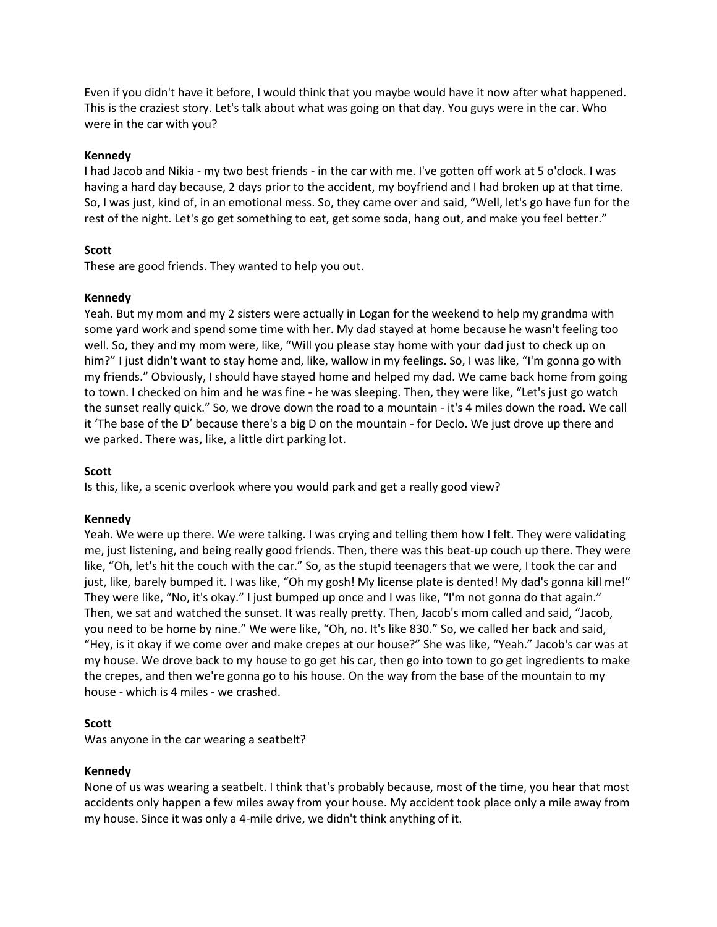Even if you didn't have it before, I would think that you maybe would have it now after what happened. This is the craziest story. Let's talk about what was going on that day. You guys were in the car. Who were in the car with you?

# **Kennedy**

I had Jacob and Nikia - my two best friends - in the car with me. I've gotten off work at 5 o'clock. I was having a hard day because, 2 days prior to the accident, my boyfriend and I had broken up at that time. So, I was just, kind of, in an emotional mess. So, they came over and said, "Well, let's go have fun for the rest of the night. Let's go get something to eat, get some soda, hang out, and make you feel better."

# **Scott**

These are good friends. They wanted to help you out.

# **Kennedy**

Yeah. But my mom and my 2 sisters were actually in Logan for the weekend to help my grandma with some yard work and spend some time with her. My dad stayed at home because he wasn't feeling too well. So, they and my mom were, like, "Will you please stay home with your dad just to check up on him?" I just didn't want to stay home and, like, wallow in my feelings. So, I was like, "I'm gonna go with my friends." Obviously, I should have stayed home and helped my dad. We came back home from going to town. I checked on him and he was fine - he was sleeping. Then, they were like, "Let's just go watch the sunset really quick." So, we drove down the road to a mountain - it's 4 miles down the road. We call it 'The base of the D' because there's a big D on the mountain - for Declo. We just drove up there and we parked. There was, like, a little dirt parking lot.

# **Scott**

Is this, like, a scenic overlook where you would park and get a really good view?

# **Kennedy**

Yeah. We were up there. We were talking. I was crying and telling them how I felt. They were validating me, just listening, and being really good friends. Then, there was this beat-up couch up there. They were like, "Oh, let's hit the couch with the car." So, as the stupid teenagers that we were, I took the car and just, like, barely bumped it. I was like, "Oh my gosh! My license plate is dented! My dad's gonna kill me!" They were like, "No, it's okay." I just bumped up once and I was like, "I'm not gonna do that again." Then, we sat and watched the sunset. It was really pretty. Then, Jacob's mom called and said, "Jacob, you need to be home by nine." We were like, "Oh, no. It's like 830." So, we called her back and said, "Hey, is it okay if we come over and make crepes at our house?" She was like, "Yeah." Jacob's car was at my house. We drove back to my house to go get his car, then go into town to go get ingredients to make the crepes, and then we're gonna go to his house. On the way from the base of the mountain to my house - which is 4 miles - we crashed.

# **Scott**

Was anyone in the car wearing a seatbelt?

# **Kennedy**

None of us was wearing a seatbelt. I think that's probably because, most of the time, you hear that most accidents only happen a few miles away from your house. My accident took place only a mile away from my house. Since it was only a 4-mile drive, we didn't think anything of it.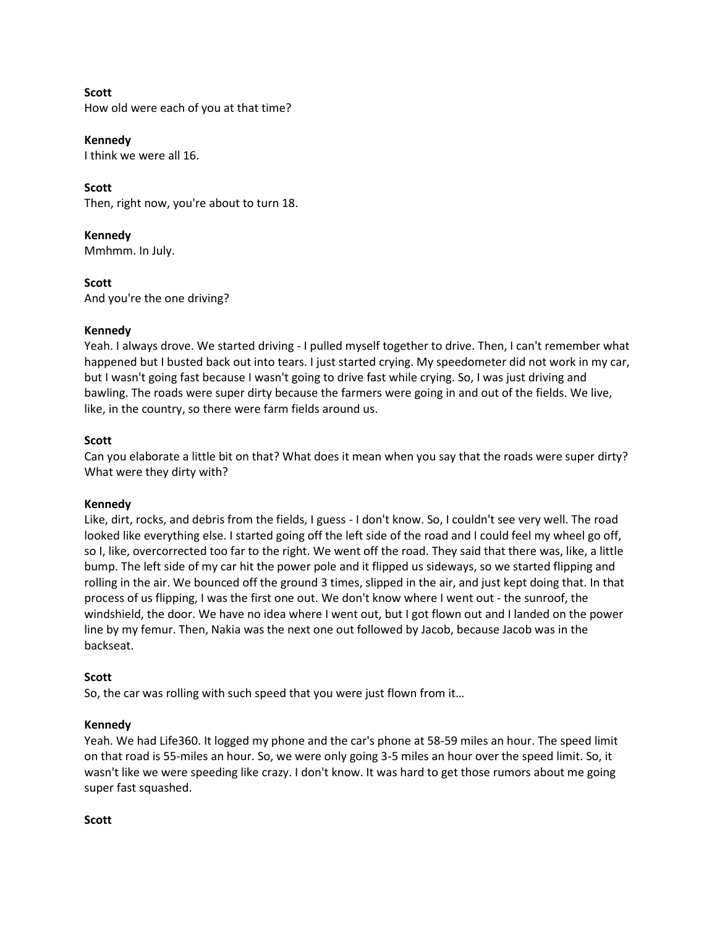### **Scott**

How old were each of you at that time?

### **Kennedy**

I think we were all 16.

# **Scott**

Then, right now, you're about to turn 18.

**Kennedy** Mmhmm. In July.

**Scott** And you're the one driving?

### **Kennedy**

Yeah. I always drove. We started driving - I pulled myself together to drive. Then, I can't remember what happened but I busted back out into tears. I just started crying. My speedometer did not work in my car, but I wasn't going fast because I wasn't going to drive fast while crying. So, I was just driving and bawling. The roads were super dirty because the farmers were going in and out of the fields. We live, like, in the country, so there were farm fields around us.

# **Scott**

Can you elaborate a little bit on that? What does it mean when you say that the roads were super dirty? What were they dirty with?

# **Kennedy**

Like, dirt, rocks, and debris from the fields, I guess - I don't know. So, I couldn't see very well. The road looked like everything else. I started going off the left side of the road and I could feel my wheel go off, so I, like, overcorrected too far to the right. We went off the road. They said that there was, like, a little bump. The left side of my car hit the power pole and it flipped us sideways, so we started flipping and rolling in the air. We bounced off the ground 3 times, slipped in the air, and just kept doing that. In that process of us flipping, I was the first one out. We don't know where I went out - the sunroof, the windshield, the door. We have no idea where I went out, but I got flown out and I landed on the power line by my femur. Then, Nakia was the next one out followed by Jacob, because Jacob was in the backseat.

# **Scott**

So, the car was rolling with such speed that you were just flown from it…

# **Kennedy**

Yeah. We had Life360. It logged my phone and the car's phone at 58-59 miles an hour. The speed limit on that road is 55-miles an hour. So, we were only going 3-5 miles an hour over the speed limit. So, it wasn't like we were speeding like crazy. I don't know. It was hard to get those rumors about me going super fast squashed.

**Scott**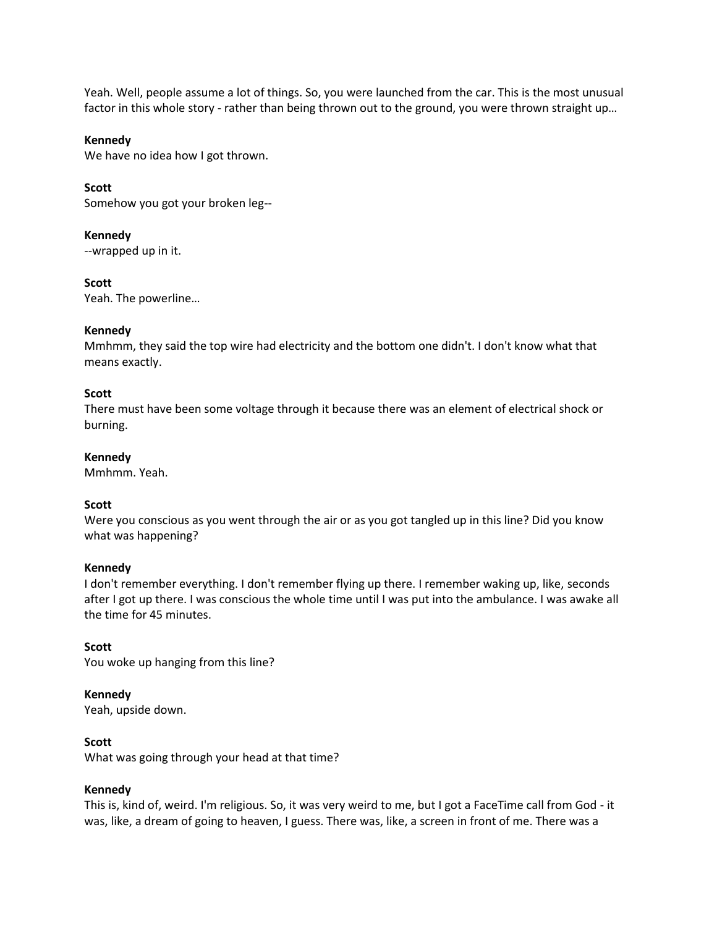Yeah. Well, people assume a lot of things. So, you were launched from the car. This is the most unusual factor in this whole story - rather than being thrown out to the ground, you were thrown straight up...

### **Kennedy**

We have no idea how I got thrown.

### **Scott**

Somehow you got your broken leg--

### **Kennedy**

--wrapped up in it.

### **Scott**

Yeah. The powerline…

### **Kennedy**

Mmhmm, they said the top wire had electricity and the bottom one didn't. I don't know what that means exactly.

### **Scott**

There must have been some voltage through it because there was an element of electrical shock or burning.

### **Kennedy**

Mmhmm. Yeah.

# **Scott**

Were you conscious as you went through the air or as you got tangled up in this line? Did you know what was happening?

### **Kennedy**

I don't remember everything. I don't remember flying up there. I remember waking up, like, seconds after I got up there. I was conscious the whole time until I was put into the ambulance. I was awake all the time for 45 minutes.

### **Scott**

You woke up hanging from this line?

# **Kennedy**

Yeah, upside down.

### **Scott**

What was going through your head at that time?

# **Kennedy**

This is, kind of, weird. I'm religious. So, it was very weird to me, but I got a FaceTime call from God - it was, like, a dream of going to heaven, I guess. There was, like, a screen in front of me. There was a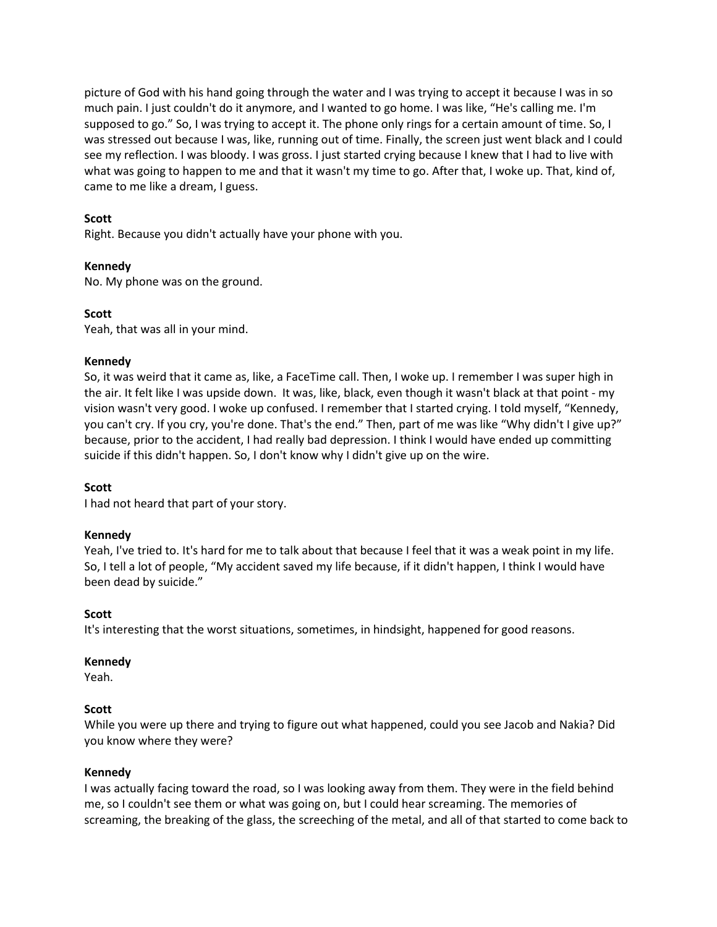picture of God with his hand going through the water and I was trying to accept it because I was in so much pain. I just couldn't do it anymore, and I wanted to go home. I was like, "He's calling me. I'm supposed to go." So, I was trying to accept it. The phone only rings for a certain amount of time. So, I was stressed out because I was, like, running out of time. Finally, the screen just went black and I could see my reflection. I was bloody. I was gross. I just started crying because I knew that I had to live with what was going to happen to me and that it wasn't my time to go. After that, I woke up. That, kind of, came to me like a dream, I guess.

# **Scott**

Right. Because you didn't actually have your phone with you.

# **Kennedy**

No. My phone was on the ground.

# **Scott**

Yeah, that was all in your mind.

### **Kennedy**

So, it was weird that it came as, like, a FaceTime call. Then, I woke up. I remember I was super high in the air. It felt like I was upside down. It was, like, black, even though it wasn't black at that point - my vision wasn't very good. I woke up confused. I remember that I started crying. I told myself, "Kennedy, you can't cry. If you cry, you're done. That's the end." Then, part of me was like "Why didn't I give up?" because, prior to the accident, I had really bad depression. I think I would have ended up committing suicide if this didn't happen. So, I don't know why I didn't give up on the wire.

### **Scott**

I had not heard that part of your story.

### **Kennedy**

Yeah, I've tried to. It's hard for me to talk about that because I feel that it was a weak point in my life. So, I tell a lot of people, "My accident saved my life because, if it didn't happen, I think I would have been dead by suicide."

### **Scott**

It's interesting that the worst situations, sometimes, in hindsight, happened for good reasons.

### **Kennedy**

Yeah.

### **Scott**

While you were up there and trying to figure out what happened, could you see Jacob and Nakia? Did you know where they were?

### **Kennedy**

I was actually facing toward the road, so I was looking away from them. They were in the field behind me, so I couldn't see them or what was going on, but I could hear screaming. The memories of screaming, the breaking of the glass, the screeching of the metal, and all of that started to come back to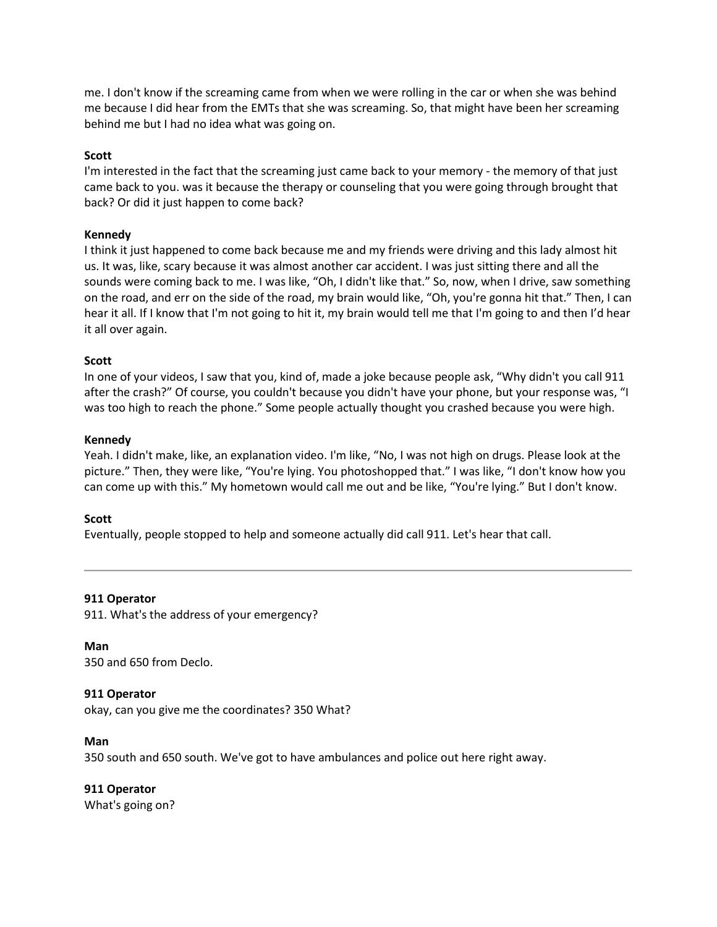me. I don't know if the screaming came from when we were rolling in the car or when she was behind me because I did hear from the EMTs that she was screaming. So, that might have been her screaming behind me but I had no idea what was going on.

### **Scott**

I'm interested in the fact that the screaming just came back to your memory - the memory of that just came back to you. was it because the therapy or counseling that you were going through brought that back? Or did it just happen to come back?

### **Kennedy**

I think it just happened to come back because me and my friends were driving and this lady almost hit us. It was, like, scary because it was almost another car accident. I was just sitting there and all the sounds were coming back to me. I was like, "Oh, I didn't like that." So, now, when I drive, saw something on the road, and err on the side of the road, my brain would like, "Oh, you're gonna hit that." Then, I can hear it all. If I know that I'm not going to hit it, my brain would tell me that I'm going to and then I'd hear it all over again.

### **Scott**

In one of your videos, I saw that you, kind of, made a joke because people ask, "Why didn't you call 911 after the crash?" Of course, you couldn't because you didn't have your phone, but your response was, "I was too high to reach the phone." Some people actually thought you crashed because you were high.

### **Kennedy**

Yeah. I didn't make, like, an explanation video. I'm like, "No, I was not high on drugs. Please look at the picture." Then, they were like, "You're lying. You photoshopped that." I was like, "I don't know how you can come up with this." My hometown would call me out and be like, "You're lying." But I don't know.

# **Scott**

Eventually, people stopped to help and someone actually did call 911. Let's hear that call.

### **911 Operator**

911. What's the address of your emergency?

**Man** 350 and 650 from Declo.

# **911 Operator**

okay, can you give me the coordinates? 350 What?

### **Man**

350 south and 650 south. We've got to have ambulances and police out here right away.

# **911 Operator**

What's going on?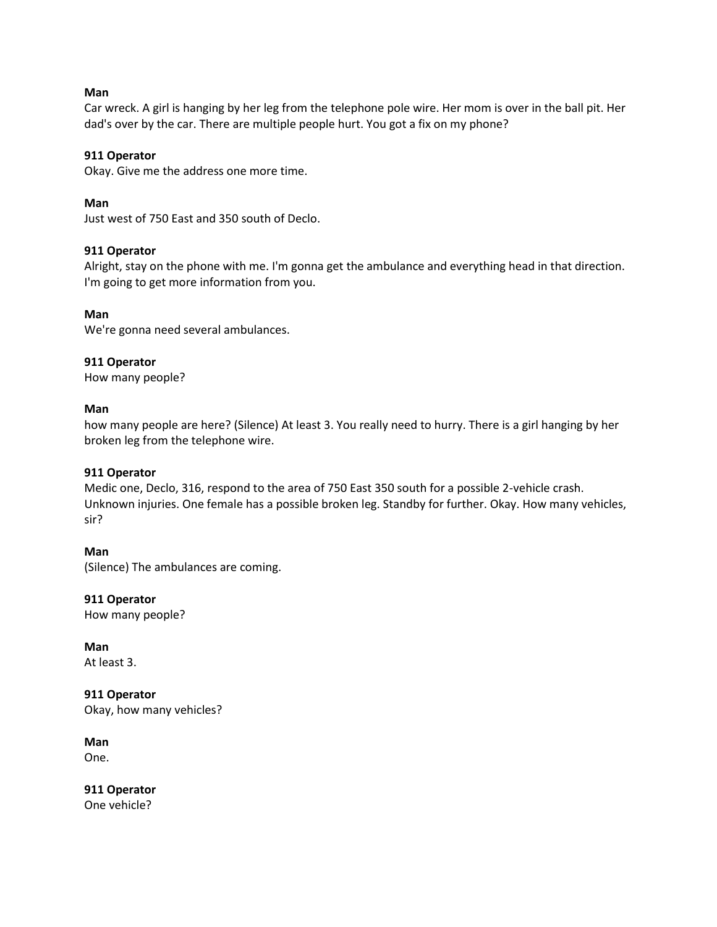### **Man**

Car wreck. A girl is hanging by her leg from the telephone pole wire. Her mom is over in the ball pit. Her dad's over by the car. There are multiple people hurt. You got a fix on my phone?

### **911 Operator**

Okay. Give me the address one more time.

### **Man**

Just west of 750 East and 350 south of Declo.

### **911 Operator**

Alright, stay on the phone with me. I'm gonna get the ambulance and everything head in that direction. I'm going to get more information from you.

### **Man**

We're gonna need several ambulances.

# **911 Operator**

How many people?

### **Man**

how many people are here? (Silence) At least 3. You really need to hurry. There is a girl hanging by her broken leg from the telephone wire.

# **911 Operator**

Medic one, Declo, 316, respond to the area of 750 East 350 south for a possible 2-vehicle crash. Unknown injuries. One female has a possible broken leg. Standby for further. Okay. How many vehicles, sir?

### **Man**

(Silence) The ambulances are coming.

**911 Operator** How many people?

**Man** At least 3.

**911 Operator** Okay, how many vehicles?

**Man**

One.

**911 Operator** One vehicle?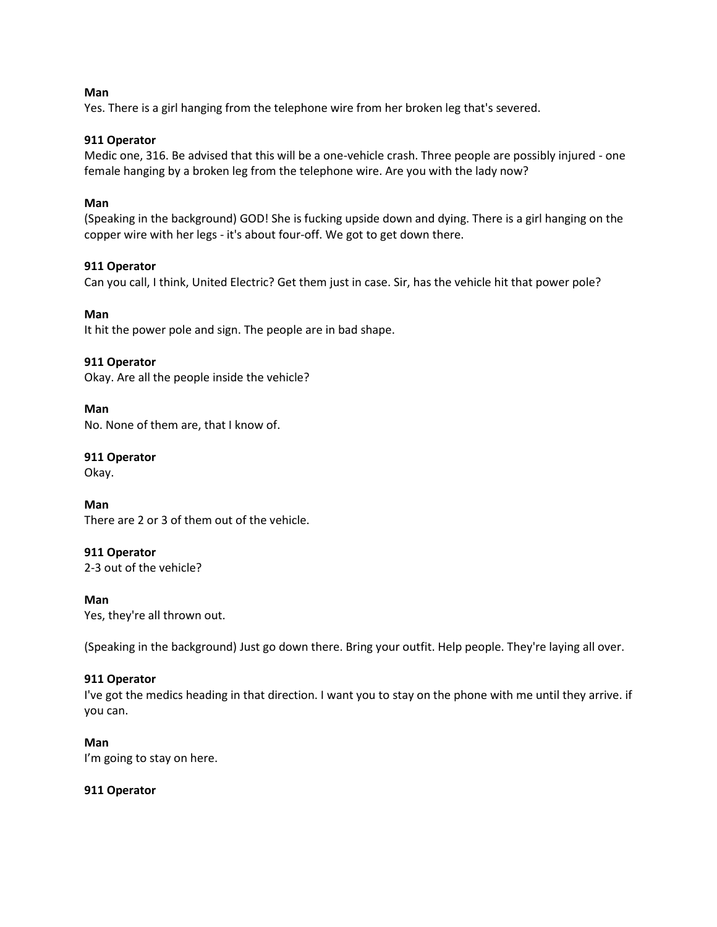### **Man**

Yes. There is a girl hanging from the telephone wire from her broken leg that's severed.

# **911 Operator**

Medic one, 316. Be advised that this will be a one-vehicle crash. Three people are possibly injured - one female hanging by a broken leg from the telephone wire. Are you with the lady now?

# **Man**

(Speaking in the background) GOD! She is fucking upside down and dying. There is a girl hanging on the copper wire with her legs - it's about four-off. We got to get down there.

# **911 Operator**

Can you call, I think, United Electric? Get them just in case. Sir, has the vehicle hit that power pole?

# **Man**

It hit the power pole and sign. The people are in bad shape.

# **911 Operator**

Okay. Are all the people inside the vehicle?

# **Man**

No. None of them are, that I know of.

**911 Operator**

Okay.

**Man**

There are 2 or 3 of them out of the vehicle.

# **911 Operator**

2-3 out of the vehicle?

# **Man**

Yes, they're all thrown out.

(Speaking in the background) Just go down there. Bring your outfit. Help people. They're laying all over.

# **911 Operator**

I've got the medics heading in that direction. I want you to stay on the phone with me until they arrive. if you can.

# **Man**

I'm going to stay on here.

# **911 Operator**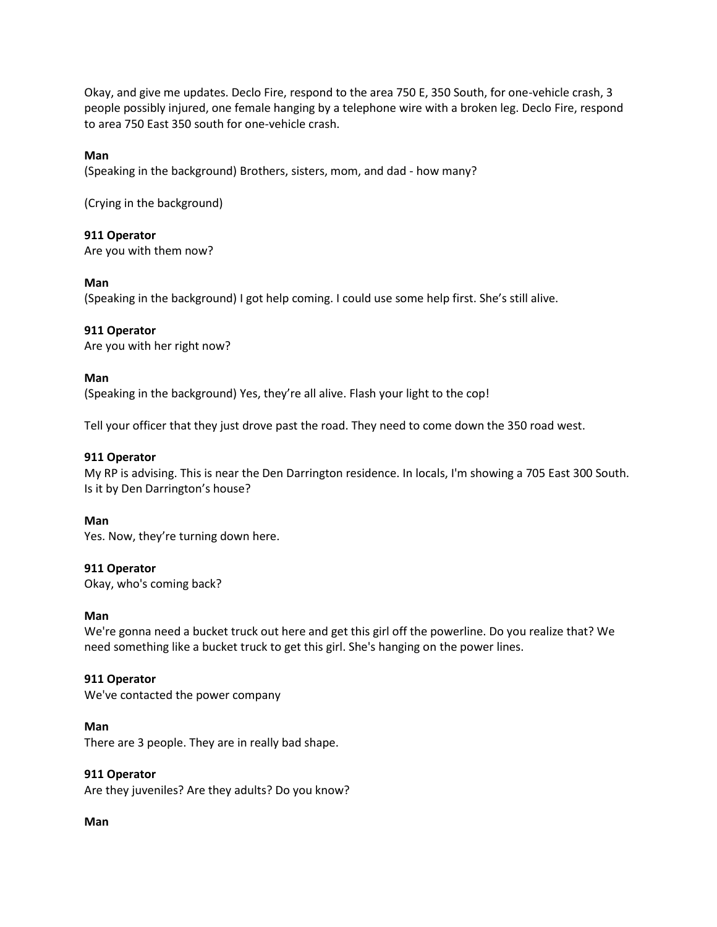Okay, and give me updates. Declo Fire, respond to the area 750 E, 350 South, for one-vehicle crash, 3 people possibly injured, one female hanging by a telephone wire with a broken leg. Declo Fire, respond to area 750 East 350 south for one-vehicle crash.

# **Man**

(Speaking in the background) Brothers, sisters, mom, and dad - how many?

(Crying in the background)

**911 Operator**

Are you with them now?

### **Man**

(Speaking in the background) I got help coming. I could use some help first. She's still alive.

**911 Operator**

Are you with her right now?

### **Man**

(Speaking in the background) Yes, they're all alive. Flash your light to the cop!

Tell your officer that they just drove past the road. They need to come down the 350 road west.

# **911 Operator**

My RP is advising. This is near the Den Darrington residence. In locals, I'm showing a 705 East 300 South. Is it by Den Darrington's house?

# **Man**

Yes. Now, they're turning down here.

# **911 Operator**

Okay, who's coming back?

### **Man**

We're gonna need a bucket truck out here and get this girl off the powerline. Do you realize that? We need something like a bucket truck to get this girl. She's hanging on the power lines.

# **911 Operator**

We've contacted the power company

### **Man**

There are 3 people. They are in really bad shape.

### **911 Operator**

Are they juveniles? Are they adults? Do you know?

**Man**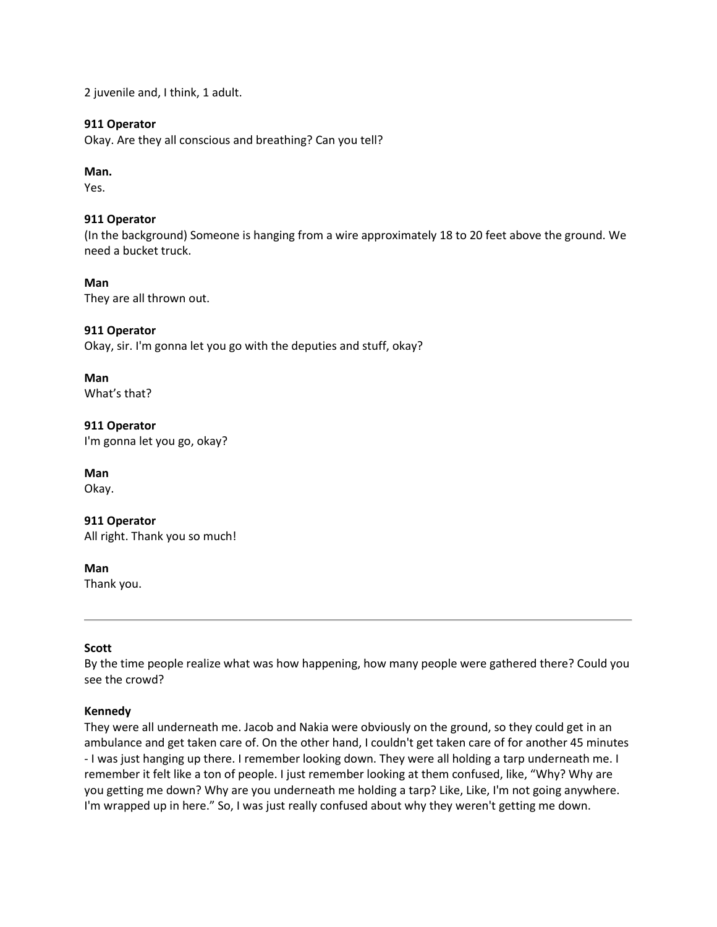2 juvenile and, I think, 1 adult.

### **911 Operator**

Okay. Are they all conscious and breathing? Can you tell?

# **Man.**

Yes.

# **911 Operator**

(In the background) Someone is hanging from a wire approximately 18 to 20 feet above the ground. We need a bucket truck.

# **Man**

They are all thrown out.

# **911 Operator**

Okay, sir. I'm gonna let you go with the deputies and stuff, okay?

#### **Man** What's that?

# **911 Operator**

I'm gonna let you go, okay?

# **Man**

Okay.

# **911 Operator**

All right. Thank you so much!

# **Man**

Thank you.

# **Scott**

By the time people realize what was how happening, how many people were gathered there? Could you see the crowd?

# **Kennedy**

They were all underneath me. Jacob and Nakia were obviously on the ground, so they could get in an ambulance and get taken care of. On the other hand, I couldn't get taken care of for another 45 minutes - I was just hanging up there. I remember looking down. They were all holding a tarp underneath me. I remember it felt like a ton of people. I just remember looking at them confused, like, "Why? Why are you getting me down? Why are you underneath me holding a tarp? Like, Like, I'm not going anywhere. I'm wrapped up in here." So, I was just really confused about why they weren't getting me down.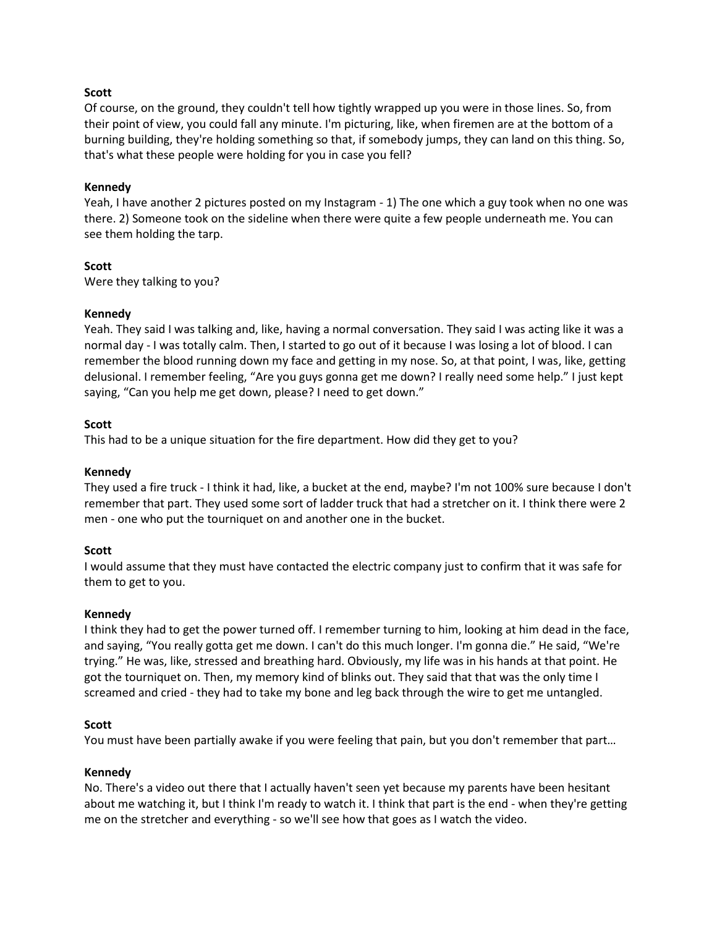# **Scott**

Of course, on the ground, they couldn't tell how tightly wrapped up you were in those lines. So, from their point of view, you could fall any minute. I'm picturing, like, when firemen are at the bottom of a burning building, they're holding something so that, if somebody jumps, they can land on this thing. So, that's what these people were holding for you in case you fell?

### **Kennedy**

Yeah, I have another 2 pictures posted on my Instagram - 1) The one which a guy took when no one was there. 2) Someone took on the sideline when there were quite a few people underneath me. You can see them holding the tarp.

### **Scott**

Were they talking to you?

### **Kennedy**

Yeah. They said I was talking and, like, having a normal conversation. They said I was acting like it was a normal day - I was totally calm. Then, I started to go out of it because I was losing a lot of blood. I can remember the blood running down my face and getting in my nose. So, at that point, I was, like, getting delusional. I remember feeling, "Are you guys gonna get me down? I really need some help." I just kept saying, "Can you help me get down, please? I need to get down."

### **Scott**

This had to be a unique situation for the fire department. How did they get to you?

### **Kennedy**

They used a fire truck - I think it had, like, a bucket at the end, maybe? I'm not 100% sure because I don't remember that part. They used some sort of ladder truck that had a stretcher on it. I think there were 2 men - one who put the tourniquet on and another one in the bucket.

### **Scott**

I would assume that they must have contacted the electric company just to confirm that it was safe for them to get to you.

### **Kennedy**

I think they had to get the power turned off. I remember turning to him, looking at him dead in the face, and saying, "You really gotta get me down. I can't do this much longer. I'm gonna die." He said, "We're trying." He was, like, stressed and breathing hard. Obviously, my life was in his hands at that point. He got the tourniquet on. Then, my memory kind of blinks out. They said that that was the only time I screamed and cried - they had to take my bone and leg back through the wire to get me untangled.

### **Scott**

You must have been partially awake if you were feeling that pain, but you don't remember that part…

### **Kennedy**

No. There's a video out there that I actually haven't seen yet because my parents have been hesitant about me watching it, but I think I'm ready to watch it. I think that part is the end - when they're getting me on the stretcher and everything - so we'll see how that goes as I watch the video.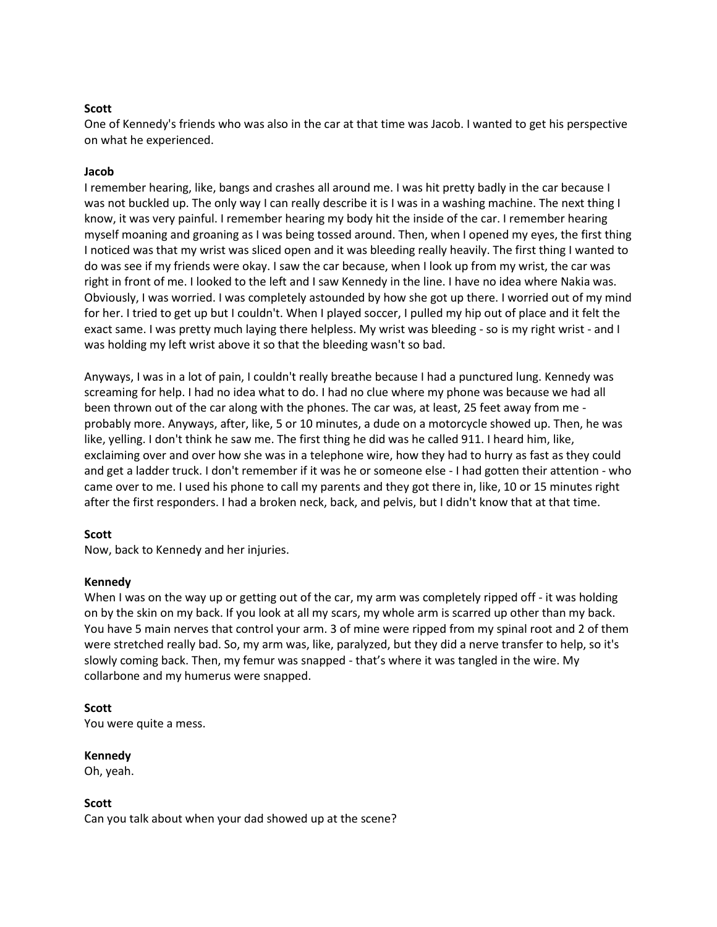### **Scott**

One of Kennedy's friends who was also in the car at that time was Jacob. I wanted to get his perspective on what he experienced.

### **Jacob**

I remember hearing, like, bangs and crashes all around me. I was hit pretty badly in the car because I was not buckled up. The only way I can really describe it is I was in a washing machine. The next thing I know, it was very painful. I remember hearing my body hit the inside of the car. I remember hearing myself moaning and groaning as I was being tossed around. Then, when I opened my eyes, the first thing I noticed was that my wrist was sliced open and it was bleeding really heavily. The first thing I wanted to do was see if my friends were okay. I saw the car because, when I look up from my wrist, the car was right in front of me. I looked to the left and I saw Kennedy in the line. I have no idea where Nakia was. Obviously, I was worried. I was completely astounded by how she got up there. I worried out of my mind for her. I tried to get up but I couldn't. When I played soccer, I pulled my hip out of place and it felt the exact same. I was pretty much laying there helpless. My wrist was bleeding - so is my right wrist - and I was holding my left wrist above it so that the bleeding wasn't so bad.

Anyways, I was in a lot of pain, I couldn't really breathe because I had a punctured lung. Kennedy was screaming for help. I had no idea what to do. I had no clue where my phone was because we had all been thrown out of the car along with the phones. The car was, at least, 25 feet away from me probably more. Anyways, after, like, 5 or 10 minutes, a dude on a motorcycle showed up. Then, he was like, yelling. I don't think he saw me. The first thing he did was he called 911. I heard him, like, exclaiming over and over how she was in a telephone wire, how they had to hurry as fast as they could and get a ladder truck. I don't remember if it was he or someone else - I had gotten their attention - who came over to me. I used his phone to call my parents and they got there in, like, 10 or 15 minutes right after the first responders. I had a broken neck, back, and pelvis, but I didn't know that at that time.

### **Scott**

Now, back to Kennedy and her injuries.

### **Kennedy**

When I was on the way up or getting out of the car, my arm was completely ripped off - it was holding on by the skin on my back. If you look at all my scars, my whole arm is scarred up other than my back. You have 5 main nerves that control your arm. 3 of mine were ripped from my spinal root and 2 of them were stretched really bad. So, my arm was, like, paralyzed, but they did a nerve transfer to help, so it's slowly coming back. Then, my femur was snapped - that's where it was tangled in the wire. My collarbone and my humerus were snapped.

### **Scott**

You were quite a mess.

### **Kennedy**

Oh, yeah.

### **Scott**

Can you talk about when your dad showed up at the scene?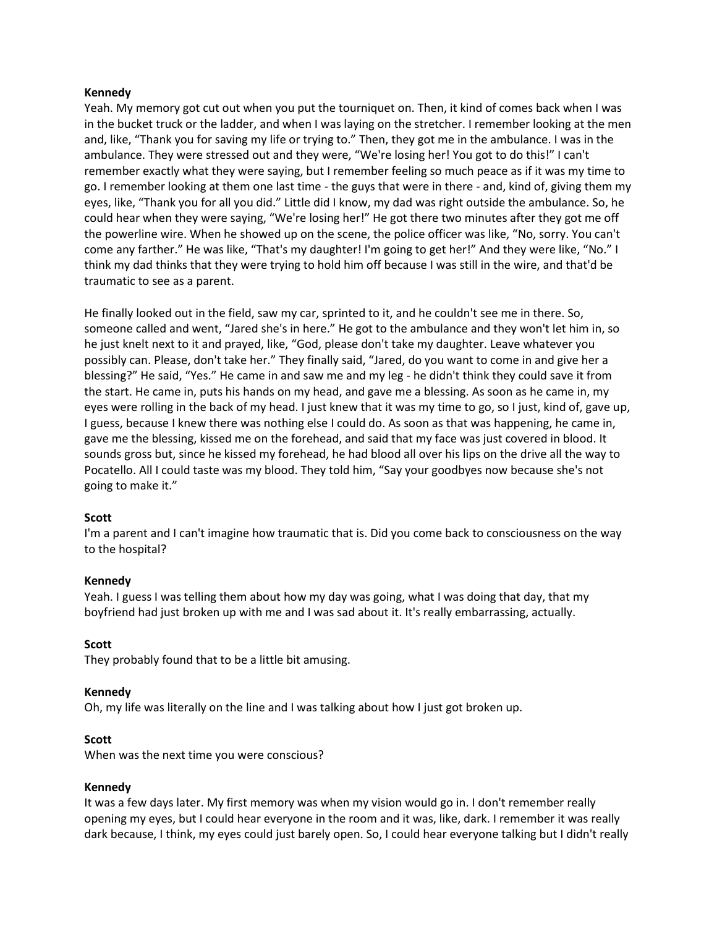### **Kennedy**

Yeah. My memory got cut out when you put the tourniquet on. Then, it kind of comes back when I was in the bucket truck or the ladder, and when I was laying on the stretcher. I remember looking at the men and, like, "Thank you for saving my life or trying to." Then, they got me in the ambulance. I was in the ambulance. They were stressed out and they were, "We're losing her! You got to do this!" I can't remember exactly what they were saying, but I remember feeling so much peace as if it was my time to go. I remember looking at them one last time - the guys that were in there - and, kind of, giving them my eyes, like, "Thank you for all you did." Little did I know, my dad was right outside the ambulance. So, he could hear when they were saying, "We're losing her!" He got there two minutes after they got me off the powerline wire. When he showed up on the scene, the police officer was like, "No, sorry. You can't come any farther." He was like, "That's my daughter! I'm going to get her!" And they were like, "No." I think my dad thinks that they were trying to hold him off because I was still in the wire, and that'd be traumatic to see as a parent.

He finally looked out in the field, saw my car, sprinted to it, and he couldn't see me in there. So, someone called and went, "Jared she's in here." He got to the ambulance and they won't let him in, so he just knelt next to it and prayed, like, "God, please don't take my daughter. Leave whatever you possibly can. Please, don't take her." They finally said, "Jared, do you want to come in and give her a blessing?" He said, "Yes." He came in and saw me and my leg - he didn't think they could save it from the start. He came in, puts his hands on my head, and gave me a blessing. As soon as he came in, my eyes were rolling in the back of my head. I just knew that it was my time to go, so I just, kind of, gave up, I guess, because I knew there was nothing else I could do. As soon as that was happening, he came in, gave me the blessing, kissed me on the forehead, and said that my face was just covered in blood. It sounds gross but, since he kissed my forehead, he had blood all over his lips on the drive all the way to Pocatello. All I could taste was my blood. They told him, "Say your goodbyes now because she's not going to make it."

# **Scott**

I'm a parent and I can't imagine how traumatic that is. Did you come back to consciousness on the way to the hospital?

### **Kennedy**

Yeah. I guess I was telling them about how my day was going, what I was doing that day, that my boyfriend had just broken up with me and I was sad about it. It's really embarrassing, actually.

### **Scott**

They probably found that to be a little bit amusing.

### **Kennedy**

Oh, my life was literally on the line and I was talking about how I just got broken up.

### **Scott**

When was the next time you were conscious?

### **Kennedy**

It was a few days later. My first memory was when my vision would go in. I don't remember really opening my eyes, but I could hear everyone in the room and it was, like, dark. I remember it was really dark because, I think, my eyes could just barely open. So, I could hear everyone talking but I didn't really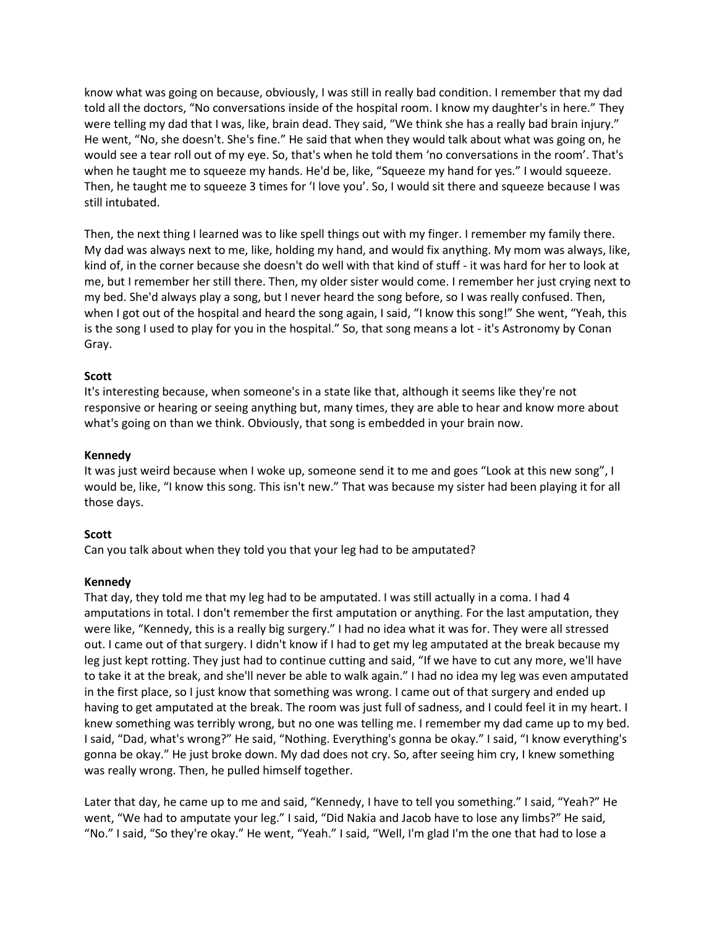know what was going on because, obviously, I was still in really bad condition. I remember that my dad told all the doctors, "No conversations inside of the hospital room. I know my daughter's in here." They were telling my dad that I was, like, brain dead. They said, "We think she has a really bad brain injury." He went, "No, she doesn't. She's fine." He said that when they would talk about what was going on, he would see a tear roll out of my eye. So, that's when he told them 'no conversations in the room'. That's when he taught me to squeeze my hands. He'd be, like, "Squeeze my hand for yes." I would squeeze. Then, he taught me to squeeze 3 times for 'I love you'. So, I would sit there and squeeze because I was still intubated.

Then, the next thing I learned was to like spell things out with my finger. I remember my family there. My dad was always next to me, like, holding my hand, and would fix anything. My mom was always, like, kind of, in the corner because she doesn't do well with that kind of stuff - it was hard for her to look at me, but I remember her still there. Then, my older sister would come. I remember her just crying next to my bed. She'd always play a song, but I never heard the song before, so I was really confused. Then, when I got out of the hospital and heard the song again, I said, "I know this song!" She went, "Yeah, this is the song I used to play for you in the hospital." So, that song means a lot - it's Astronomy by Conan Gray.

### **Scott**

It's interesting because, when someone's in a state like that, although it seems like they're not responsive or hearing or seeing anything but, many times, they are able to hear and know more about what's going on than we think. Obviously, that song is embedded in your brain now.

### **Kennedy**

It was just weird because when I woke up, someone send it to me and goes "Look at this new song", I would be, like, "I know this song. This isn't new." That was because my sister had been playing it for all those days.

#### **Scott**

Can you talk about when they told you that your leg had to be amputated?

### **Kennedy**

That day, they told me that my leg had to be amputated. I was still actually in a coma. I had 4 amputations in total. I don't remember the first amputation or anything. For the last amputation, they were like, "Kennedy, this is a really big surgery." I had no idea what it was for. They were all stressed out. I came out of that surgery. I didn't know if I had to get my leg amputated at the break because my leg just kept rotting. They just had to continue cutting and said, "If we have to cut any more, we'll have to take it at the break, and she'll never be able to walk again." I had no idea my leg was even amputated in the first place, so I just know that something was wrong. I came out of that surgery and ended up having to get amputated at the break. The room was just full of sadness, and I could feel it in my heart. I knew something was terribly wrong, but no one was telling me. I remember my dad came up to my bed. I said, "Dad, what's wrong?" He said, "Nothing. Everything's gonna be okay." I said, "I know everything's gonna be okay." He just broke down. My dad does not cry. So, after seeing him cry, I knew something was really wrong. Then, he pulled himself together.

Later that day, he came up to me and said, "Kennedy, I have to tell you something." I said, "Yeah?" He went, "We had to amputate your leg." I said, "Did Nakia and Jacob have to lose any limbs?" He said, "No." I said, "So they're okay." He went, "Yeah." I said, "Well, I'm glad I'm the one that had to lose a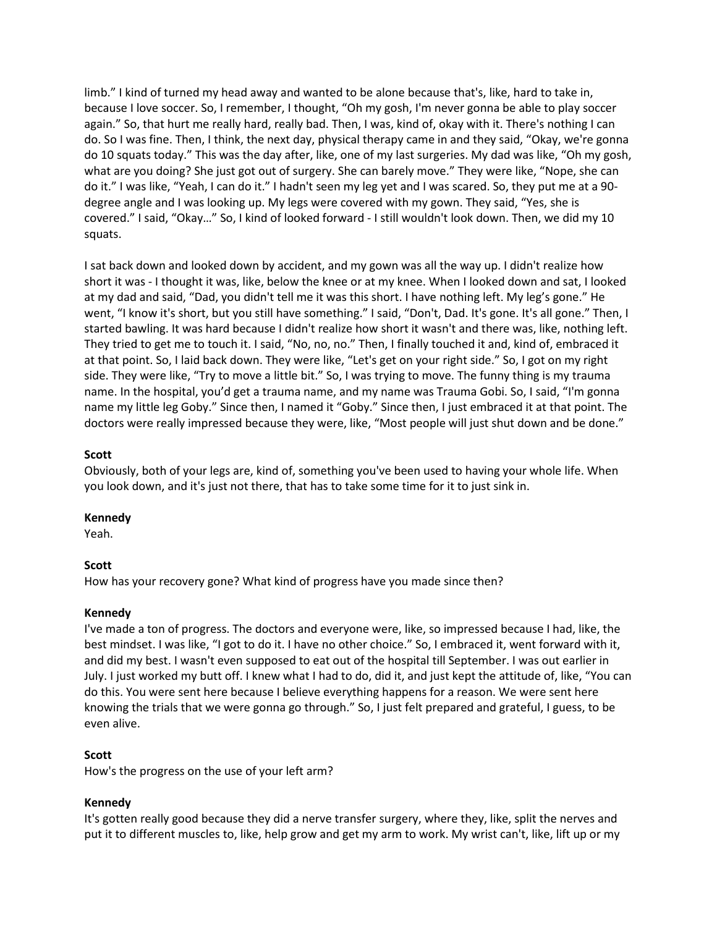limb." I kind of turned my head away and wanted to be alone because that's, like, hard to take in, because I love soccer. So, I remember, I thought, "Oh my gosh, I'm never gonna be able to play soccer again." So, that hurt me really hard, really bad. Then, I was, kind of, okay with it. There's nothing I can do. So I was fine. Then, I think, the next day, physical therapy came in and they said, "Okay, we're gonna do 10 squats today." This was the day after, like, one of my last surgeries. My dad was like, "Oh my gosh, what are you doing? She just got out of surgery. She can barely move." They were like, "Nope, she can do it." I was like, "Yeah, I can do it." I hadn't seen my leg yet and I was scared. So, they put me at a 90 degree angle and I was looking up. My legs were covered with my gown. They said, "Yes, she is covered." I said, "Okay…" So, I kind of looked forward - I still wouldn't look down. Then, we did my 10 squats.

I sat back down and looked down by accident, and my gown was all the way up. I didn't realize how short it was - I thought it was, like, below the knee or at my knee. When I looked down and sat, I looked at my dad and said, "Dad, you didn't tell me it was this short. I have nothing left. My leg's gone." He went, "I know it's short, but you still have something." I said, "Don't, Dad. It's gone. It's all gone." Then, I started bawling. It was hard because I didn't realize how short it wasn't and there was, like, nothing left. They tried to get me to touch it. I said, "No, no, no." Then, I finally touched it and, kind of, embraced it at that point. So, I laid back down. They were like, "Let's get on your right side." So, I got on my right side. They were like, "Try to move a little bit." So, I was trying to move. The funny thing is my trauma name. In the hospital, you'd get a trauma name, and my name was Trauma Gobi. So, I said, "I'm gonna name my little leg Goby." Since then, I named it "Goby." Since then, I just embraced it at that point. The doctors were really impressed because they were, like, "Most people will just shut down and be done."

### **Scott**

Obviously, both of your legs are, kind of, something you've been used to having your whole life. When you look down, and it's just not there, that has to take some time for it to just sink in.

### **Kennedy**

Yeah.

### **Scott**

How has your recovery gone? What kind of progress have you made since then?

### **Kennedy**

I've made a ton of progress. The doctors and everyone were, like, so impressed because I had, like, the best mindset. I was like, "I got to do it. I have no other choice." So, I embraced it, went forward with it, and did my best. I wasn't even supposed to eat out of the hospital till September. I was out earlier in July. I just worked my butt off. I knew what I had to do, did it, and just kept the attitude of, like, "You can do this. You were sent here because I believe everything happens for a reason. We were sent here knowing the trials that we were gonna go through." So, I just felt prepared and grateful, I guess, to be even alive.

# **Scott**

How's the progress on the use of your left arm?

# **Kennedy**

It's gotten really good because they did a nerve transfer surgery, where they, like, split the nerves and put it to different muscles to, like, help grow and get my arm to work. My wrist can't, like, lift up or my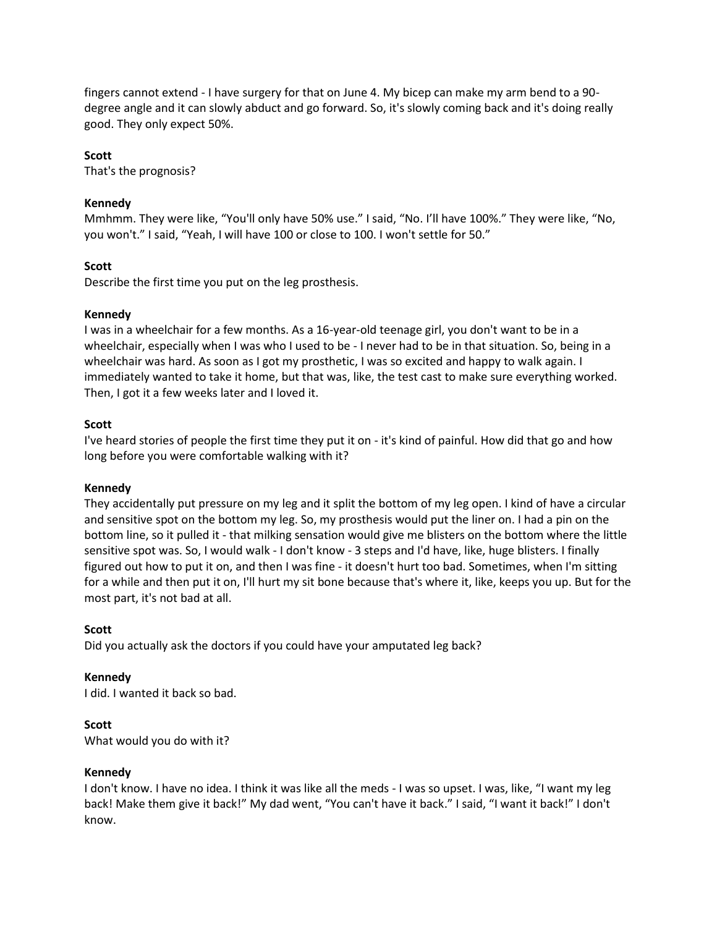fingers cannot extend - I have surgery for that on June 4. My bicep can make my arm bend to a 90 degree angle and it can slowly abduct and go forward. So, it's slowly coming back and it's doing really good. They only expect 50%.

# **Scott**

That's the prognosis?

# **Kennedy**

Mmhmm. They were like, "You'll only have 50% use." I said, "No. I'll have 100%." They were like, "No, you won't." I said, "Yeah, I will have 100 or close to 100. I won't settle for 50."

### **Scott**

Describe the first time you put on the leg prosthesis.

### **Kennedy**

I was in a wheelchair for a few months. As a 16-year-old teenage girl, you don't want to be in a wheelchair, especially when I was who I used to be - I never had to be in that situation. So, being in a wheelchair was hard. As soon as I got my prosthetic, I was so excited and happy to walk again. I immediately wanted to take it home, but that was, like, the test cast to make sure everything worked. Then, I got it a few weeks later and I loved it.

### **Scott**

I've heard stories of people the first time they put it on - it's kind of painful. How did that go and how long before you were comfortable walking with it?

### **Kennedy**

They accidentally put pressure on my leg and it split the bottom of my leg open. I kind of have a circular and sensitive spot on the bottom my leg. So, my prosthesis would put the liner on. I had a pin on the bottom line, so it pulled it - that milking sensation would give me blisters on the bottom where the little sensitive spot was. So, I would walk - I don't know - 3 steps and I'd have, like, huge blisters. I finally figured out how to put it on, and then I was fine - it doesn't hurt too bad. Sometimes, when I'm sitting for a while and then put it on, I'll hurt my sit bone because that's where it, like, keeps you up. But for the most part, it's not bad at all.

### **Scott**

Did you actually ask the doctors if you could have your amputated leg back?

# **Kennedy**

I did. I wanted it back so bad.

### **Scott**

What would you do with it?

### **Kennedy**

I don't know. I have no idea. I think it was like all the meds - I was so upset. I was, like, "I want my leg back! Make them give it back!" My dad went, "You can't have it back." I said, "I want it back!" I don't know.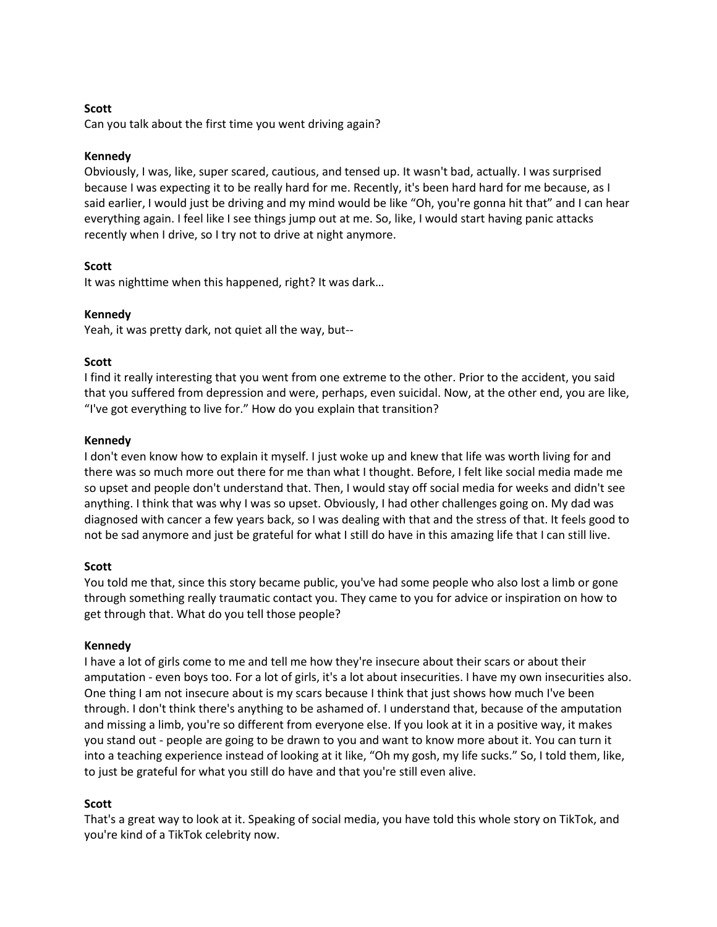# **Scott**

Can you talk about the first time you went driving again?

### **Kennedy**

Obviously, I was, like, super scared, cautious, and tensed up. It wasn't bad, actually. I was surprised because I was expecting it to be really hard for me. Recently, it's been hard hard for me because, as I said earlier, I would just be driving and my mind would be like "Oh, you're gonna hit that" and I can hear everything again. I feel like I see things jump out at me. So, like, I would start having panic attacks recently when I drive, so I try not to drive at night anymore.

### **Scott**

It was nighttime when this happened, right? It was dark…

### **Kennedy**

Yeah, it was pretty dark, not quiet all the way, but--

### **Scott**

I find it really interesting that you went from one extreme to the other. Prior to the accident, you said that you suffered from depression and were, perhaps, even suicidal. Now, at the other end, you are like, "I've got everything to live for." How do you explain that transition?

### **Kennedy**

I don't even know how to explain it myself. I just woke up and knew that life was worth living for and there was so much more out there for me than what I thought. Before, I felt like social media made me so upset and people don't understand that. Then, I would stay off social media for weeks and didn't see anything. I think that was why I was so upset. Obviously, I had other challenges going on. My dad was diagnosed with cancer a few years back, so I was dealing with that and the stress of that. It feels good to not be sad anymore and just be grateful for what I still do have in this amazing life that I can still live.

### **Scott**

You told me that, since this story became public, you've had some people who also lost a limb or gone through something really traumatic contact you. They came to you for advice or inspiration on how to get through that. What do you tell those people?

### **Kennedy**

I have a lot of girls come to me and tell me how they're insecure about their scars or about their amputation - even boys too. For a lot of girls, it's a lot about insecurities. I have my own insecurities also. One thing I am not insecure about is my scars because I think that just shows how much I've been through. I don't think there's anything to be ashamed of. I understand that, because of the amputation and missing a limb, you're so different from everyone else. If you look at it in a positive way, it makes you stand out - people are going to be drawn to you and want to know more about it. You can turn it into a teaching experience instead of looking at it like, "Oh my gosh, my life sucks." So, I told them, like, to just be grateful for what you still do have and that you're still even alive.

# **Scott**

That's a great way to look at it. Speaking of social media, you have told this whole story on TikTok, and you're kind of a TikTok celebrity now.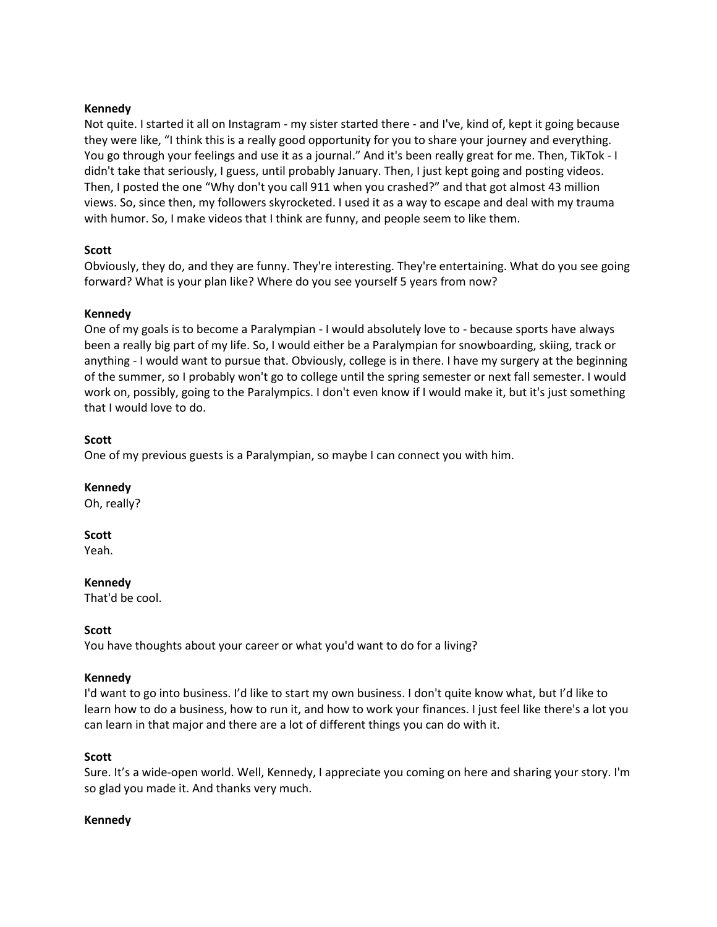# **Kennedy**

Not quite. I started it all on Instagram - my sister started there - and I've, kind of, kept it going because they were like, "I think this is a really good opportunity for you to share your journey and everything. You go through your feelings and use it as a journal." And it's been really great for me. Then, TikTok - I didn't take that seriously, I guess, until probably January. Then, I just kept going and posting videos. Then, I posted the one "Why don't you call 911 when you crashed?" and that got almost 43 million views. So, since then, my followers skyrocketed. I used it as a way to escape and deal with my trauma with humor. So, I make videos that I think are funny, and people seem to like them.

# **Scott**

Obviously, they do, and they are funny. They're interesting. They're entertaining. What do you see going forward? What is your plan like? Where do you see yourself 5 years from now?

### **Kennedy**

One of my goals is to become a Paralympian - I would absolutely love to - because sports have always been a really big part of my life. So, I would either be a Paralympian for snowboarding, skiing, track or anything - I would want to pursue that. Obviously, college is in there. I have my surgery at the beginning of the summer, so I probably won't go to college until the spring semester or next fall semester. I would work on, possibly, going to the Paralympics. I don't even know if I would make it, but it's just something that I would love to do.

# **Scott**

One of my previous guests is a Paralympian, so maybe I can connect you with him.

### **Kennedy**

Oh, really?

# **Scott**

Yeah.

# **Kennedy**

That'd be cool.

# **Scott**

You have thoughts about your career or what you'd want to do for a living?

### **Kennedy**

I'd want to go into business. I'd like to start my own business. I don't quite know what, but I'd like to learn how to do a business, how to run it, and how to work your finances. I just feel like there's a lot you can learn in that major and there are a lot of different things you can do with it.

### **Scott**

Sure. It's a wide-open world. Well, Kennedy, I appreciate you coming on here and sharing your story. I'm so glad you made it. And thanks very much.

### **Kennedy**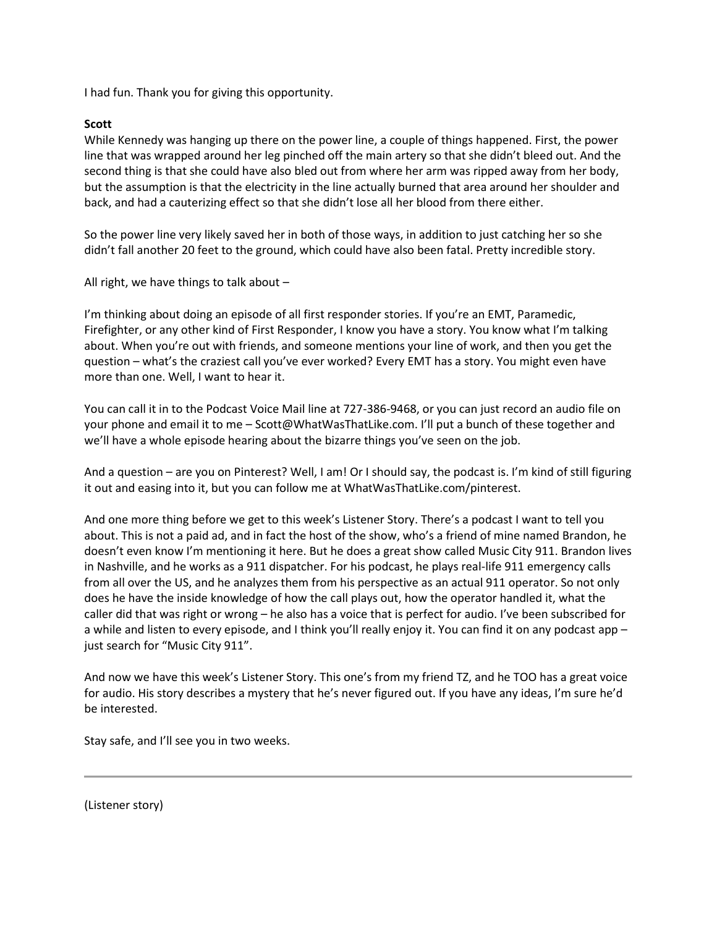I had fun. Thank you for giving this opportunity.

### **Scott**

While Kennedy was hanging up there on the power line, a couple of things happened. First, the power line that was wrapped around her leg pinched off the main artery so that she didn't bleed out. And the second thing is that she could have also bled out from where her arm was ripped away from her body, but the assumption is that the electricity in the line actually burned that area around her shoulder and back, and had a cauterizing effect so that she didn't lose all her blood from there either.

So the power line very likely saved her in both of those ways, in addition to just catching her so she didn't fall another 20 feet to the ground, which could have also been fatal. Pretty incredible story.

All right, we have things to talk about –

I'm thinking about doing an episode of all first responder stories. If you're an EMT, Paramedic, Firefighter, or any other kind of First Responder, I know you have a story. You know what I'm talking about. When you're out with friends, and someone mentions your line of work, and then you get the question – what's the craziest call you've ever worked? Every EMT has a story. You might even have more than one. Well, I want to hear it.

You can call it in to the Podcast Voice Mail line at 727-386-9468, or you can just record an audio file on your phone and email it to me – Scott@WhatWasThatLike.com. I'll put a bunch of these together and we'll have a whole episode hearing about the bizarre things you've seen on the job.

And a question – are you on Pinterest? Well, I am! Or I should say, the podcast is. I'm kind of still figuring it out and easing into it, but you can follow me at WhatWasThatLike.com/pinterest.

And one more thing before we get to this week's Listener Story. There's a podcast I want to tell you about. This is not a paid ad, and in fact the host of the show, who's a friend of mine named Brandon, he doesn't even know I'm mentioning it here. But he does a great show called Music City 911. Brandon lives in Nashville, and he works as a 911 dispatcher. For his podcast, he plays real-life 911 emergency calls from all over the US, and he analyzes them from his perspective as an actual 911 operator. So not only does he have the inside knowledge of how the call plays out, how the operator handled it, what the caller did that was right or wrong – he also has a voice that is perfect for audio. I've been subscribed for a while and listen to every episode, and I think you'll really enjoy it. You can find it on any podcast app – just search for "Music City 911".

And now we have this week's Listener Story. This one's from my friend TZ, and he TOO has a great voice for audio. His story describes a mystery that he's never figured out. If you have any ideas, I'm sure he'd be interested.

Stay safe, and I'll see you in two weeks.

(Listener story)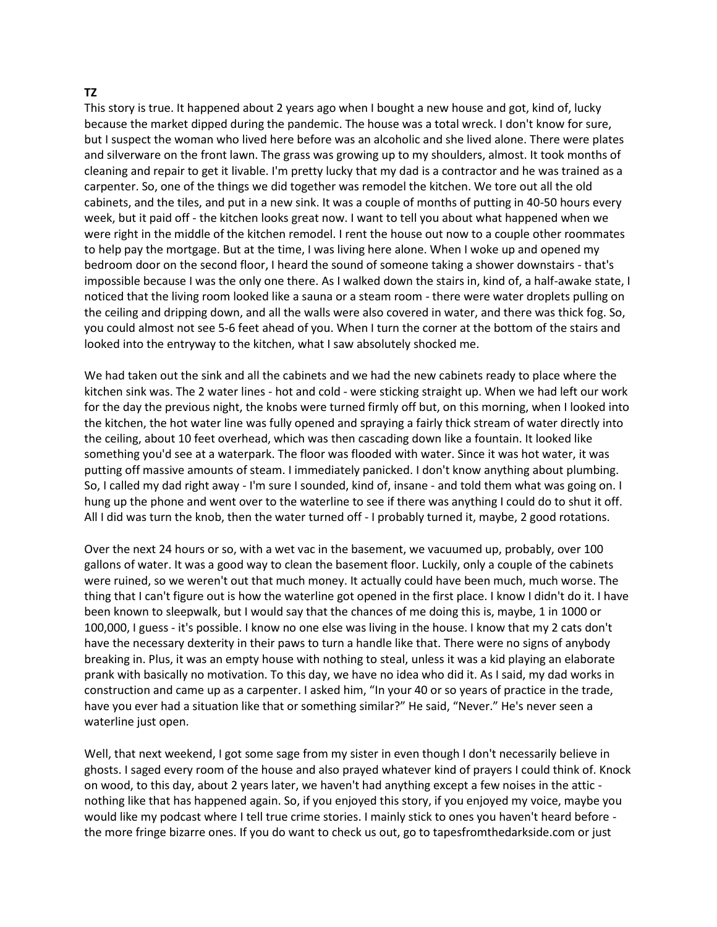### **TZ**

This story is true. It happened about 2 years ago when I bought a new house and got, kind of, lucky because the market dipped during the pandemic. The house was a total wreck. I don't know for sure, but I suspect the woman who lived here before was an alcoholic and she lived alone. There were plates and silverware on the front lawn. The grass was growing up to my shoulders, almost. It took months of cleaning and repair to get it livable. I'm pretty lucky that my dad is a contractor and he was trained as a carpenter. So, one of the things we did together was remodel the kitchen. We tore out all the old cabinets, and the tiles, and put in a new sink. It was a couple of months of putting in 40-50 hours every week, but it paid off - the kitchen looks great now. I want to tell you about what happened when we were right in the middle of the kitchen remodel. I rent the house out now to a couple other roommates to help pay the mortgage. But at the time, I was living here alone. When I woke up and opened my bedroom door on the second floor, I heard the sound of someone taking a shower downstairs - that's impossible because I was the only one there. As I walked down the stairs in, kind of, a half-awake state, I noticed that the living room looked like a sauna or a steam room - there were water droplets pulling on the ceiling and dripping down, and all the walls were also covered in water, and there was thick fog. So, you could almost not see 5-6 feet ahead of you. When I turn the corner at the bottom of the stairs and looked into the entryway to the kitchen, what I saw absolutely shocked me.

We had taken out the sink and all the cabinets and we had the new cabinets ready to place where the kitchen sink was. The 2 water lines - hot and cold - were sticking straight up. When we had left our work for the day the previous night, the knobs were turned firmly off but, on this morning, when I looked into the kitchen, the hot water line was fully opened and spraying a fairly thick stream of water directly into the ceiling, about 10 feet overhead, which was then cascading down like a fountain. It looked like something you'd see at a waterpark. The floor was flooded with water. Since it was hot water, it was putting off massive amounts of steam. I immediately panicked. I don't know anything about plumbing. So, I called my dad right away - I'm sure I sounded, kind of, insane - and told them what was going on. I hung up the phone and went over to the waterline to see if there was anything I could do to shut it off. All I did was turn the knob, then the water turned off - I probably turned it, maybe, 2 good rotations.

Over the next 24 hours or so, with a wet vac in the basement, we vacuumed up, probably, over 100 gallons of water. It was a good way to clean the basement floor. Luckily, only a couple of the cabinets were ruined, so we weren't out that much money. It actually could have been much, much worse. The thing that I can't figure out is how the waterline got opened in the first place. I know I didn't do it. I have been known to sleepwalk, but I would say that the chances of me doing this is, maybe, 1 in 1000 or 100,000, I guess - it's possible. I know no one else was living in the house. I know that my 2 cats don't have the necessary dexterity in their paws to turn a handle like that. There were no signs of anybody breaking in. Plus, it was an empty house with nothing to steal, unless it was a kid playing an elaborate prank with basically no motivation. To this day, we have no idea who did it. As I said, my dad works in construction and came up as a carpenter. I asked him, "In your 40 or so years of practice in the trade, have you ever had a situation like that or something similar?" He said, "Never." He's never seen a waterline just open.

Well, that next weekend, I got some sage from my sister in even though I don't necessarily believe in ghosts. I saged every room of the house and also prayed whatever kind of prayers I could think of. Knock on wood, to this day, about 2 years later, we haven't had anything except a few noises in the attic nothing like that has happened again. So, if you enjoyed this story, if you enjoyed my voice, maybe you would like my podcast where I tell true crime stories. I mainly stick to ones you haven't heard before the more fringe bizarre ones. If you do want to check us out, go to tapesfromthedarkside.com or just